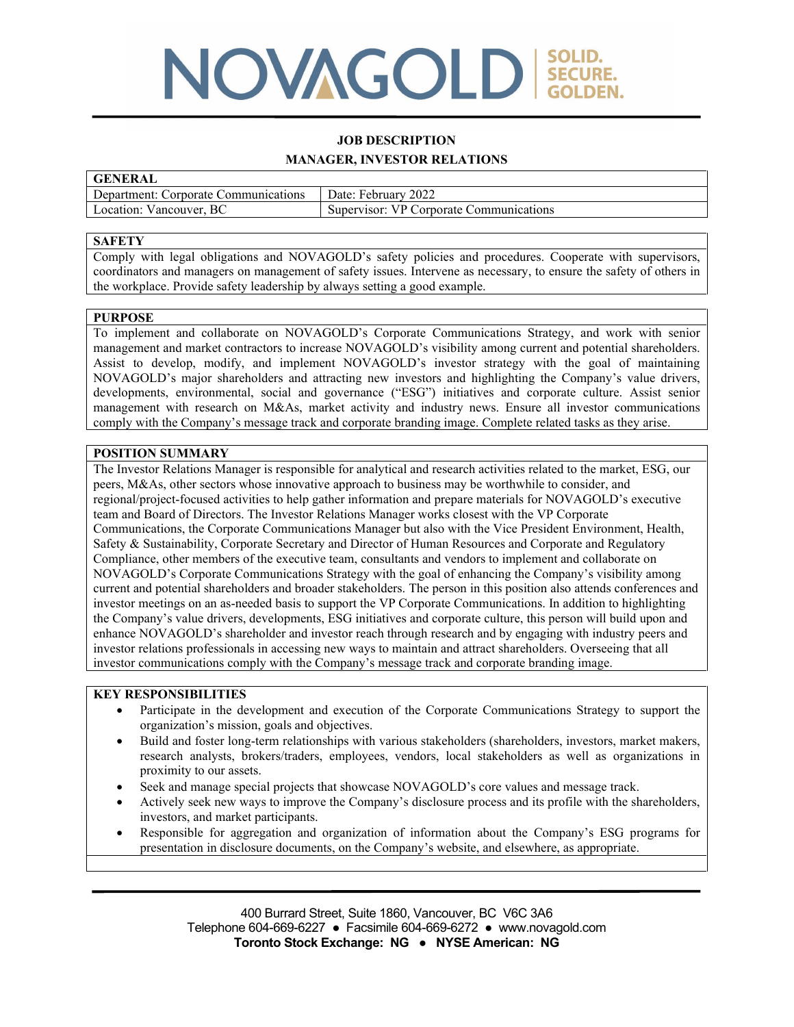# NOVAGOLD SECURE.

# **JOB DESCRIPTION MANAGER, INVESTOR RELATIONS**

| <b>GENERAL</b>                       |                                         |
|--------------------------------------|-----------------------------------------|
| Department: Corporate Communications | Date: February 2022                     |
| Location: Vancouver, BC              | Supervisor: VP Corporate Communications |

#### **SAFETY**

Comply with legal obligations and NOVAGOLD's safety policies and procedures. Cooperate with supervisors, coordinators and managers on management of safety issues. Intervene as necessary, to ensure the safety of others in the workplace. Provide safety leadership by always setting a good example.

#### **PURPOSE**

To implement and collaborate on NOVAGOLD's Corporate Communications Strategy, and work with senior management and market contractors to increase NOVAGOLD's visibility among current and potential shareholders. Assist to develop, modify, and implement NOVAGOLD's investor strategy with the goal of maintaining NOVAGOLD's major shareholders and attracting new investors and highlighting the Company's value drivers, developments, environmental, social and governance ("ESG") initiatives and corporate culture. Assist senior management with research on M&As, market activity and industry news. Ensure all investor communications comply with the Company's message track and corporate branding image. Complete related tasks as they arise.

#### **POSITION SUMMARY**

The Investor Relations Manager is responsible for analytical and research activities related to the market, ESG, our peers, M&As, other sectors whose innovative approach to business may be worthwhile to consider, and regional/project-focused activities to help gather information and prepare materials for NOVAGOLD's executive team and Board of Directors. The Investor Relations Manager works closest with the VP Corporate Communications, the Corporate Communications Manager but also with the Vice President Environment, Health, Safety & Sustainability, Corporate Secretary and Director of Human Resources and Corporate and Regulatory Compliance, other members of the executive team, consultants and vendors to implement and collaborate on NOVAGOLD's Corporate Communications Strategy with the goal of enhancing the Company's visibility among current and potential shareholders and broader stakeholders. The person in this position also attends conferences and investor meetings on an as-needed basis to support the VP Corporate Communications. In addition to highlighting the Company's value drivers, developments, ESG initiatives and corporate culture, this person will build upon and enhance NOVAGOLD's shareholder and investor reach through research and by engaging with industry peers and investor relations professionals in accessing new ways to maintain and attract shareholders. Overseeing that all investor communications comply with the Company's message track and corporate branding image.

# **KEY RESPONSIBILITIES**

- Participate in the development and execution of the Corporate Communications Strategy to support the organization's mission, goals and objectives.
- Build and foster long-term relationships with various stakeholders (shareholders, investors, market makers, research analysts, brokers/traders, employees, vendors, local stakeholders as well as organizations in proximity to our assets.
- Seek and manage special projects that showcase NOVAGOLD's core values and message track.
- Actively seek new ways to improve the Company's disclosure process and its profile with the shareholders, investors, and market participants.
- Responsible for aggregation and organization of information about the Company's ESG programs for presentation in disclosure documents, on the Company's website, and elsewhere, as appropriate.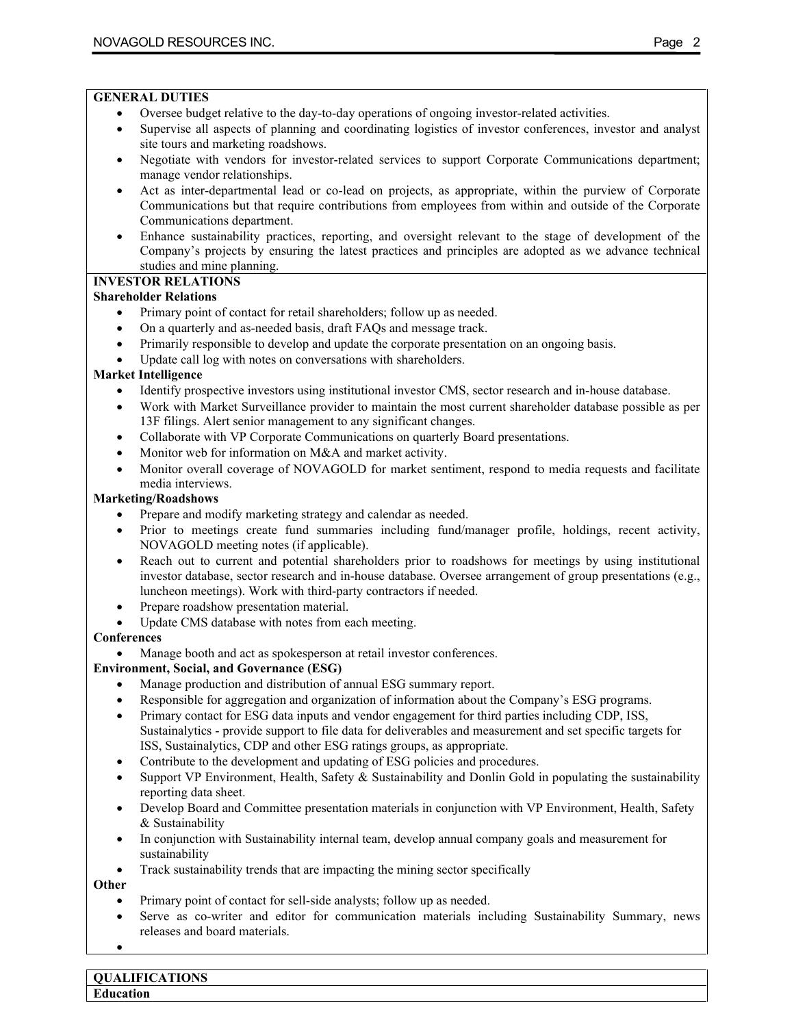- Oversee budget relative to the day-to-day operations of ongoing investor-related activities.
- Supervise all aspects of planning and coordinating logistics of investor conferences, investor and analyst site tours and marketing roadshows.
- Negotiate with vendors for investor-related services to support Corporate Communications department; manage vendor relationships.
- Act as inter-departmental lead or co-lead on projects, as appropriate, within the purview of Corporate Communications but that require contributions from employees from within and outside of the Corporate Communications department.
- Enhance sustainability practices, reporting, and oversight relevant to the stage of development of the Company's projects by ensuring the latest practices and principles are adopted as we advance technical studies and mine planning.

# **INVESTOR RELATIONS**

#### **Shareholder Relations**

- Primary point of contact for retail shareholders; follow up as needed.
- On a quarterly and as-needed basis, draft FAQs and message track.
- Primarily responsible to develop and update the corporate presentation on an ongoing basis.
- Update call log with notes on conversations with shareholders.

#### **Market Intelligence**

- Identify prospective investors using institutional investor CMS, sector research and in-house database.
- Work with Market Surveillance provider to maintain the most current shareholder database possible as per 13F filings. Alert senior management to any significant changes.
- Collaborate with VP Corporate Communications on quarterly Board presentations.
- Monitor web for information on M&A and market activity.
- Monitor overall coverage of NOVAGOLD for market sentiment, respond to media requests and facilitate media interviews.

#### **Marketing/Roadshows**

- Prepare and modify marketing strategy and calendar as needed.
- Prior to meetings create fund summaries including fund/manager profile, holdings, recent activity, NOVAGOLD meeting notes (if applicable).
- Reach out to current and potential shareholders prior to roadshows for meetings by using institutional investor database, sector research and in-house database. Oversee arrangement of group presentations (e.g., luncheon meetings). Work with third-party contractors if needed.
- Prepare roadshow presentation material.
- Update CMS database with notes from each meeting.

# **Conferences**

Manage booth and act as spokesperson at retail investor conferences.

# **Environment, Social, and Governance (ESG)**

- Manage production and distribution of annual ESG summary report.
- Responsible for aggregation and organization of information about the Company's ESG programs.
- Primary contact for ESG data inputs and vendor engagement for third parties including CDP, ISS, Sustainalytics - provide support to file data for deliverables and measurement and set specific targets for ISS, Sustainalytics, CDP and other ESG ratings groups, as appropriate.
- Contribute to the development and updating of ESG policies and procedures.
- Support VP Environment, Health, Safety & Sustainability and Donlin Gold in populating the sustainability reporting data sheet.
- Develop Board and Committee presentation materials in conjunction with VP Environment, Health, Safety & Sustainability
- In conjunction with Sustainability internal team, develop annual company goals and measurement for sustainability
- Track sustainability trends that are impacting the mining sector specifically

# **Other**

- Primary point of contact for sell-side analysts; follow up as needed.
- Serve as co-writer and editor for communication materials including Sustainability Summary, news releases and board materials.